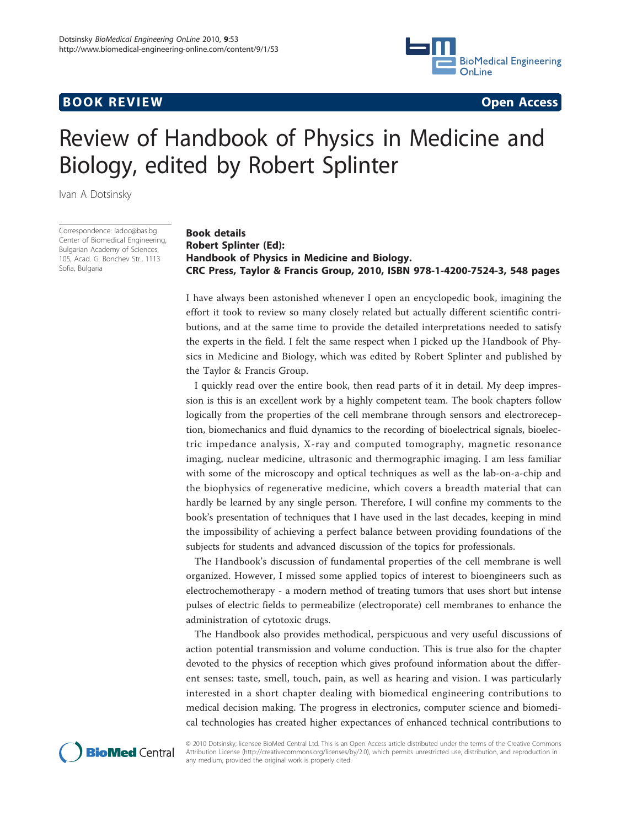## **BOOK REVIEW CONTROL** CONTROL CONTROL CONTROL CONTROL CONTROL CONTROL CONTROL CONTROL CONTROL CONTROL CONTROL CONTROL CONTROL CONTROL CONTROL CONTROL CONTROL CONTROL CONTROL CONTROL CONTROL CONTROL CONTROL CONTROL CONTROL



## Review of Handbook of Physics in Medicine and Biology, edited by Robert Splinter

Ivan A Dotsinsky

Correspondence: [iadoc@bas.bg](mailto:iadoc@bas.bg) Center of Biomedical Engineering, Bulgarian Academy of Sciences, 105, Acad. G. Bonchev Str., 1113 Sofia, Bulgaria

Book details Robert Splinter (Ed): Handbook of Physics in Medicine and Biology. CRC Press, Taylor & Francis Group, 2010, ISBN 978-1-4200-7524-3, 548 pages

I have always been astonished whenever I open an encyclopedic book, imagining the effort it took to review so many closely related but actually different scientific contributions, and at the same time to provide the detailed interpretations needed to satisfy the experts in the field. I felt the same respect when I picked up the Handbook of Physics in Medicine and Biology, which was edited by Robert Splinter and published by the Taylor & Francis Group.

I quickly read over the entire book, then read parts of it in detail. My deep impression is this is an excellent work by a highly competent team. The book chapters follow logically from the properties of the cell membrane through sensors and electroreception, biomechanics and fluid dynamics to the recording of bioelectrical signals, bioelectric impedance analysis, X-ray and computed tomography, magnetic resonance imaging, nuclear medicine, ultrasonic and thermographic imaging. I am less familiar with some of the microscopy and optical techniques as well as the lab-on-a-chip and the biophysics of regenerative medicine, which covers a breadth material that can hardly be learned by any single person. Therefore, I will confine my comments to the book's presentation of techniques that I have used in the last decades, keeping in mind the impossibility of achieving a perfect balance between providing foundations of the subjects for students and advanced discussion of the topics for professionals.

The Handbook's discussion of fundamental properties of the cell membrane is well organized. However, I missed some applied topics of interest to bioengineers such as electrochemotherapy - a modern method of treating tumors that uses short but intense pulses of electric fields to permeabilize (electroporate) cell membranes to enhance the administration of cytotoxic drugs.

The Handbook also provides methodical, perspicuous and very useful discussions of action potential transmission and volume conduction. This is true also for the chapter devoted to the physics of reception which gives profound information about the different senses: taste, smell, touch, pain, as well as hearing and vision. I was particularly interested in a short chapter dealing with biomedical engineering contributions to medical decision making. The progress in electronics, computer science and biomedical technologies has created higher expectances of enhanced technical contributions to



© 2010 Dotsinsky; licensee BioMed Central Ltd. This is an Open Access article distributed under the terms of the Creative Commons Attribution License [\(http://creativecommons.org/licenses/by/2.0](http://creativecommons.org/licenses/by/2.0)), which permits unrestricted use, distribution, and reproduction in any medium, provided the original work is properly cited.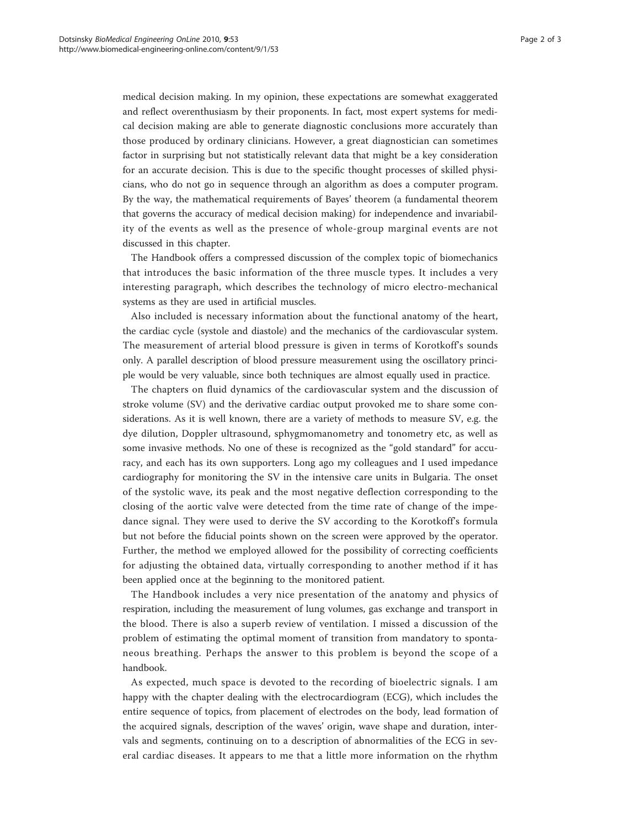medical decision making. In my opinion, these expectations are somewhat exaggerated and reflect overenthusiasm by their proponents. In fact, most expert systems for medical decision making are able to generate diagnostic conclusions more accurately than those produced by ordinary clinicians. However, a great diagnostician can sometimes factor in surprising but not statistically relevant data that might be a key consideration for an accurate decision. This is due to the specific thought processes of skilled physicians, who do not go in sequence through an algorithm as does a computer program. By the way, the mathematical requirements of Bayes' theorem (a fundamental theorem that governs the accuracy of medical decision making) for independence and invariability of the events as well as the presence of whole-group marginal events are not discussed in this chapter.

The Handbook offers a compressed discussion of the complex topic of biomechanics that introduces the basic information of the three muscle types. It includes a very interesting paragraph, which describes the technology of micro electro-mechanical systems as they are used in artificial muscles.

Also included is necessary information about the functional anatomy of the heart, the cardiac cycle (systole and diastole) and the mechanics of the cardiovascular system. The measurement of arterial blood pressure is given in terms of Korotkoff's sounds only. A parallel description of blood pressure measurement using the oscillatory principle would be very valuable, since both techniques are almost equally used in practice.

The chapters on fluid dynamics of the cardiovascular system and the discussion of stroke volume (SV) and the derivative cardiac output provoked me to share some considerations. As it is well known, there are a variety of methods to measure SV, e.g. the dye dilution, Doppler ultrasound, sphygmomanometry and tonometry etc, as well as some invasive methods. No one of these is recognized as the "gold standard" for accuracy, and each has its own supporters. Long ago my colleagues and I used impedance cardiography for monitoring the SV in the intensive care units in Bulgaria. The onset of the systolic wave, its peak and the most negative deflection corresponding to the closing of the aortic valve were detected from the time rate of change of the impedance signal. They were used to derive the SV according to the Korotkoff's formula but not before the fiducial points shown on the screen were approved by the operator. Further, the method we employed allowed for the possibility of correcting coefficients for adjusting the obtained data, virtually corresponding to another method if it has been applied once at the beginning to the monitored patient.

The Handbook includes a very nice presentation of the anatomy and physics of respiration, including the measurement of lung volumes, gas exchange and transport in the blood. There is also a superb review of ventilation. I missed a discussion of the problem of estimating the optimal moment of transition from mandatory to spontaneous breathing. Perhaps the answer to this problem is beyond the scope of a handbook.

As expected, much space is devoted to the recording of bioelectric signals. I am happy with the chapter dealing with the electrocardiogram (ECG), which includes the entire sequence of topics, from placement of electrodes on the body, lead formation of the acquired signals, description of the waves' origin, wave shape and duration, intervals and segments, continuing on to a description of abnormalities of the ECG in several cardiac diseases. It appears to me that a little more information on the rhythm